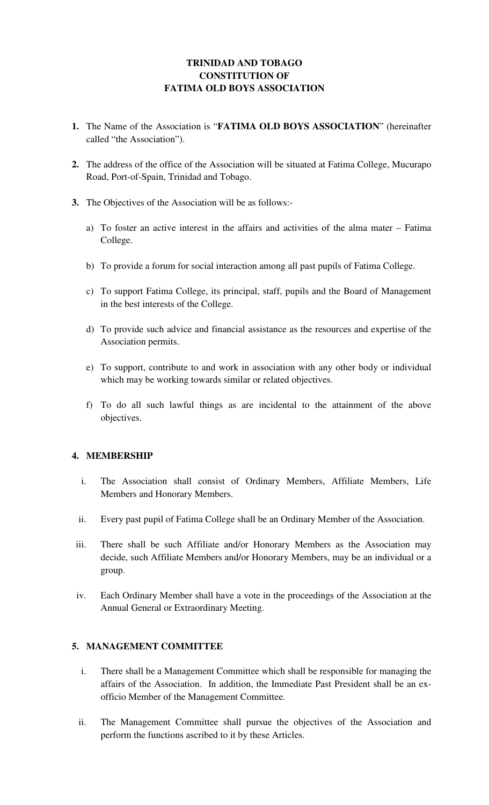# **TRINIDAD AND TOBAGO CONSTITUTION OF FATIMA OLD BOYS ASSOCIATION**

- **1.** The Name of the Association is "**FATIMA OLD BOYS ASSOCIATION**" (hereinafter called "the Association").
- **2.** The address of the office of the Association will be situated at Fatima College, Mucurapo Road, Port-of-Spain, Trinidad and Tobago.
- **3.** The Objectives of the Association will be as follows:
	- a) To foster an active interest in the affairs and activities of the alma mater Fatima College.
	- b) To provide a forum for social interaction among all past pupils of Fatima College.
	- c) To support Fatima College, its principal, staff, pupils and the Board of Management in the best interests of the College.
	- d) To provide such advice and financial assistance as the resources and expertise of the Association permits.
	- e) To support, contribute to and work in association with any other body or individual which may be working towards similar or related objectives.
	- f) To do all such lawful things as are incidental to the attainment of the above objectives.

## **4. MEMBERSHIP**

- i. The Association shall consist of Ordinary Members, Affiliate Members, Life Members and Honorary Members.
- ii. Every past pupil of Fatima College shall be an Ordinary Member of the Association.
- iii. There shall be such Affiliate and/or Honorary Members as the Association may decide, such Affiliate Members and/or Honorary Members, may be an individual or a group.
- iv. Each Ordinary Member shall have a vote in the proceedings of the Association at the Annual General or Extraordinary Meeting.

## **5. MANAGEMENT COMMITTEE**

- i. There shall be a Management Committee which shall be responsible for managing the affairs of the Association. In addition, the Immediate Past President shall be an exofficio Member of the Management Committee.
- ii. The Management Committee shall pursue the objectives of the Association and perform the functions ascribed to it by these Articles.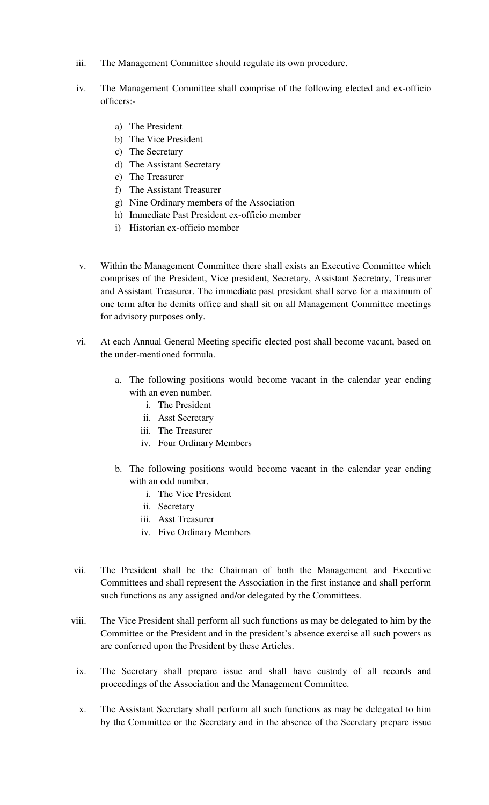- iii. The Management Committee should regulate its own procedure.
- iv. The Management Committee shall comprise of the following elected and ex-officio officers:
	- a) The President
	- b) The Vice President
	- c) The Secretary
	- d) The Assistant Secretary
	- e) The Treasurer
	- f) The Assistant Treasurer
	- g) Nine Ordinary members of the Association
	- h) Immediate Past President ex-officio member
	- i) Historian ex-officio member
- v. Within the Management Committee there shall exists an Executive Committee which comprises of the President, Vice president, Secretary, Assistant Secretary, Treasurer and Assistant Treasurer. The immediate past president shall serve for a maximum of one term after he demits office and shall sit on all Management Committee meetings for advisory purposes only.
- vi. At each Annual General Meeting specific elected post shall become vacant, based on the under-mentioned formula.
	- a. The following positions would become vacant in the calendar year ending with an even number.
		- i. The President
		- ii. Asst Secretary
		- iii. The Treasurer
		- iv. Four Ordinary Members
	- b. The following positions would become vacant in the calendar year ending with an odd number.
		- i. The Vice President
		- ii. Secretary
		- iii. Asst Treasurer
		- iv. Five Ordinary Members
- vii. The President shall be the Chairman of both the Management and Executive Committees and shall represent the Association in the first instance and shall perform such functions as any assigned and/or delegated by the Committees.
- viii. The Vice President shall perform all such functions as may be delegated to him by the Committee or the President and in the president's absence exercise all such powers as are conferred upon the President by these Articles.
- ix. The Secretary shall prepare issue and shall have custody of all records and proceedings of the Association and the Management Committee.
- x. The Assistant Secretary shall perform all such functions as may be delegated to him by the Committee or the Secretary and in the absence of the Secretary prepare issue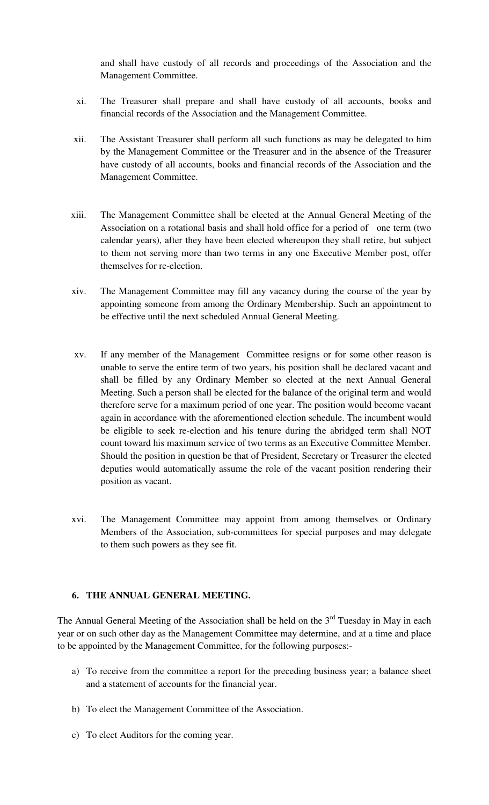and shall have custody of all records and proceedings of the Association and the Management Committee.

- xi. The Treasurer shall prepare and shall have custody of all accounts, books and financial records of the Association and the Management Committee.
- xii. The Assistant Treasurer shall perform all such functions as may be delegated to him by the Management Committee or the Treasurer and in the absence of the Treasurer have custody of all accounts, books and financial records of the Association and the Management Committee.
- xiii. The Management Committee shall be elected at the Annual General Meeting of the Association on a rotational basis and shall hold office for a period of one term (two calendar years), after they have been elected whereupon they shall retire, but subject to them not serving more than two terms in any one Executive Member post, offer themselves for re-election.
- xiv. The Management Committee may fill any vacancy during the course of the year by appointing someone from among the Ordinary Membership. Such an appointment to be effective until the next scheduled Annual General Meeting.
- xv. If any member of the Management Committee resigns or for some other reason is unable to serve the entire term of two years, his position shall be declared vacant and shall be filled by any Ordinary Member so elected at the next Annual General Meeting. Such a person shall be elected for the balance of the original term and would therefore serve for a maximum period of one year. The position would become vacant again in accordance with the aforementioned election schedule. The incumbent would be eligible to seek re-election and his tenure during the abridged term shall NOT count toward his maximum service of two terms as an Executive Committee Member. Should the position in question be that of President, Secretary or Treasurer the elected deputies would automatically assume the role of the vacant position rendering their position as vacant.
- xvi. The Management Committee may appoint from among themselves or Ordinary Members of the Association, sub-committees for special purposes and may delegate to them such powers as they see fit.

## **6. THE ANNUAL GENERAL MEETING.**

The Annual General Meeting of the Association shall be held on the  $3<sup>rd</sup>$  Tuesday in May in each year or on such other day as the Management Committee may determine, and at a time and place to be appointed by the Management Committee, for the following purposes:-

- a) To receive from the committee a report for the preceding business year; a balance sheet and a statement of accounts for the financial year.
- b) To elect the Management Committee of the Association.
- c) To elect Auditors for the coming year.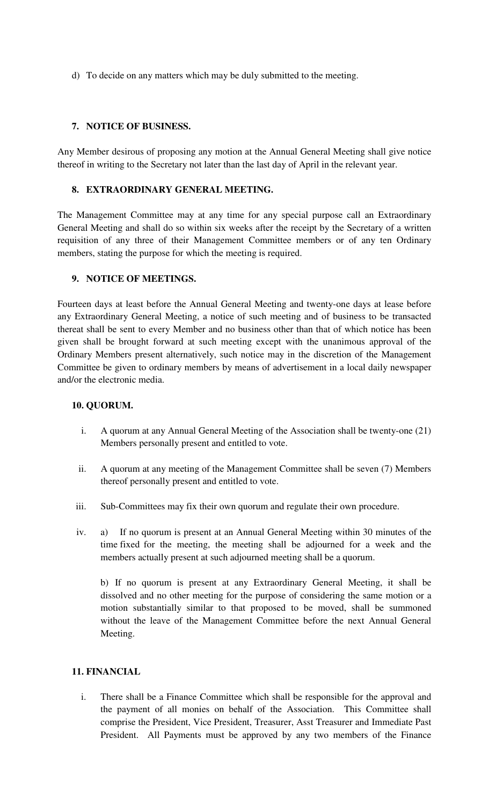d) To decide on any matters which may be duly submitted to the meeting.

### **7. NOTICE OF BUSINESS.**

Any Member desirous of proposing any motion at the Annual General Meeting shall give notice thereof in writing to the Secretary not later than the last day of April in the relevant year.

#### **8. EXTRAORDINARY GENERAL MEETING.**

The Management Committee may at any time for any special purpose call an Extraordinary General Meeting and shall do so within six weeks after the receipt by the Secretary of a written requisition of any three of their Management Committee members or of any ten Ordinary members, stating the purpose for which the meeting is required.

### **9. NOTICE OF MEETINGS.**

Fourteen days at least before the Annual General Meeting and twenty-one days at lease before any Extraordinary General Meeting, a notice of such meeting and of business to be transacted thereat shall be sent to every Member and no business other than that of which notice has been given shall be brought forward at such meeting except with the unanimous approval of the Ordinary Members present alternatively, such notice may in the discretion of the Management Committee be given to ordinary members by means of advertisement in a local daily newspaper and/or the electronic media.

#### **10. QUORUM.**

- i. A quorum at any Annual General Meeting of the Association shall be twenty-one (21) Members personally present and entitled to vote.
- ii. A quorum at any meeting of the Management Committee shall be seven (7) Members thereof personally present and entitled to vote.
- iii. Sub-Committees may fix their own quorum and regulate their own procedure.
- iv. a) If no quorum is present at an Annual General Meeting within 30 minutes of the time fixed for the meeting, the meeting shall be adjourned for a week and the members actually present at such adjourned meeting shall be a quorum.

b) If no quorum is present at any Extraordinary General Meeting, it shall be dissolved and no other meeting for the purpose of considering the same motion or a motion substantially similar to that proposed to be moved, shall be summoned without the leave of the Management Committee before the next Annual General Meeting.

## **11. FINANCIAL**

i. There shall be a Finance Committee which shall be responsible for the approval and the payment of all monies on behalf of the Association. This Committee shall comprise the President, Vice President, Treasurer, Asst Treasurer and Immediate Past President. All Payments must be approved by any two members of the Finance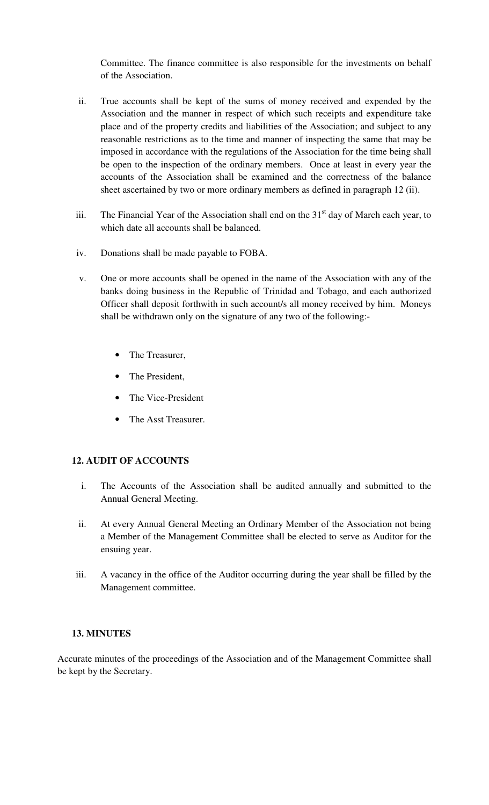Committee. The finance committee is also responsible for the investments on behalf of the Association.

- ii. True accounts shall be kept of the sums of money received and expended by the Association and the manner in respect of which such receipts and expenditure take place and of the property credits and liabilities of the Association; and subject to any reasonable restrictions as to the time and manner of inspecting the same that may be imposed in accordance with the regulations of the Association for the time being shall be open to the inspection of the ordinary members. Once at least in every year the accounts of the Association shall be examined and the correctness of the balance sheet ascertained by two or more ordinary members as defined in paragraph 12 (ii).
- iii. The Financial Year of the Association shall end on the  $31<sup>st</sup>$  day of March each year, to which date all accounts shall be balanced.
- iv. Donations shall be made payable to FOBA.
- v. One or more accounts shall be opened in the name of the Association with any of the banks doing business in the Republic of Trinidad and Tobago, and each authorized Officer shall deposit forthwith in such account/s all money received by him. Moneys shall be withdrawn only on the signature of any two of the following:-
	- The Treasurer.
	- The President,
	- The Vice-President
	- The Asst Treasurer.

## **12. AUDIT OF ACCOUNTS**

- i. The Accounts of the Association shall be audited annually and submitted to the Annual General Meeting.
- ii. At every Annual General Meeting an Ordinary Member of the Association not being a Member of the Management Committee shall be elected to serve as Auditor for the ensuing year.
- iii. A vacancy in the office of the Auditor occurring during the year shall be filled by the Management committee.

#### **13. MINUTES**

Accurate minutes of the proceedings of the Association and of the Management Committee shall be kept by the Secretary.